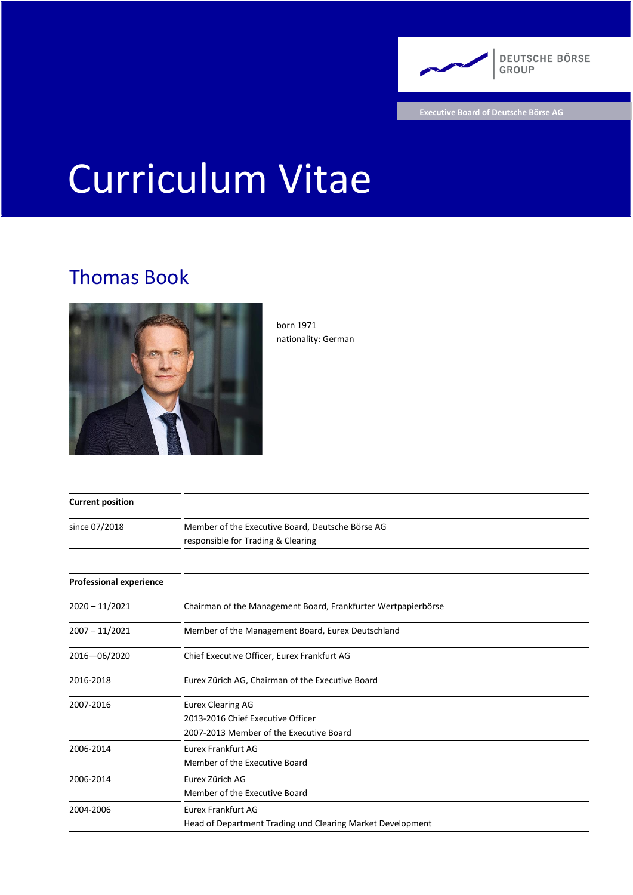

**Executive Board of Deutsche Börse AG**

# Curriculum Vitae

## Thomas Book



born 1971 nationality: German

| <b>Current position</b>        |                                                                                                          |
|--------------------------------|----------------------------------------------------------------------------------------------------------|
| since 07/2018                  | Member of the Executive Board, Deutsche Börse AG<br>responsible for Trading & Clearing                   |
|                                |                                                                                                          |
| <b>Professional experience</b> |                                                                                                          |
| $2020 - 11/2021$               | Chairman of the Management Board, Frankfurter Wertpapierbörse                                            |
| $2007 - 11/2021$               | Member of the Management Board, Eurex Deutschland                                                        |
| 2016-06/2020                   | Chief Executive Officer, Eurex Frankfurt AG                                                              |
| 2016-2018                      | Eurex Zürich AG, Chairman of the Executive Board                                                         |
| 2007-2016                      | <b>Eurex Clearing AG</b><br>2013-2016 Chief Executive Officer<br>2007-2013 Member of the Executive Board |
| 2006-2014                      | <b>Eurex Frankfurt AG</b><br>Member of the Executive Board                                               |
| 2006-2014                      | Eurex Zürich AG<br>Member of the Executive Board                                                         |
| 2004-2006                      | <b>Eurex Frankfurt AG</b><br>Head of Department Trading und Clearing Market Development                  |